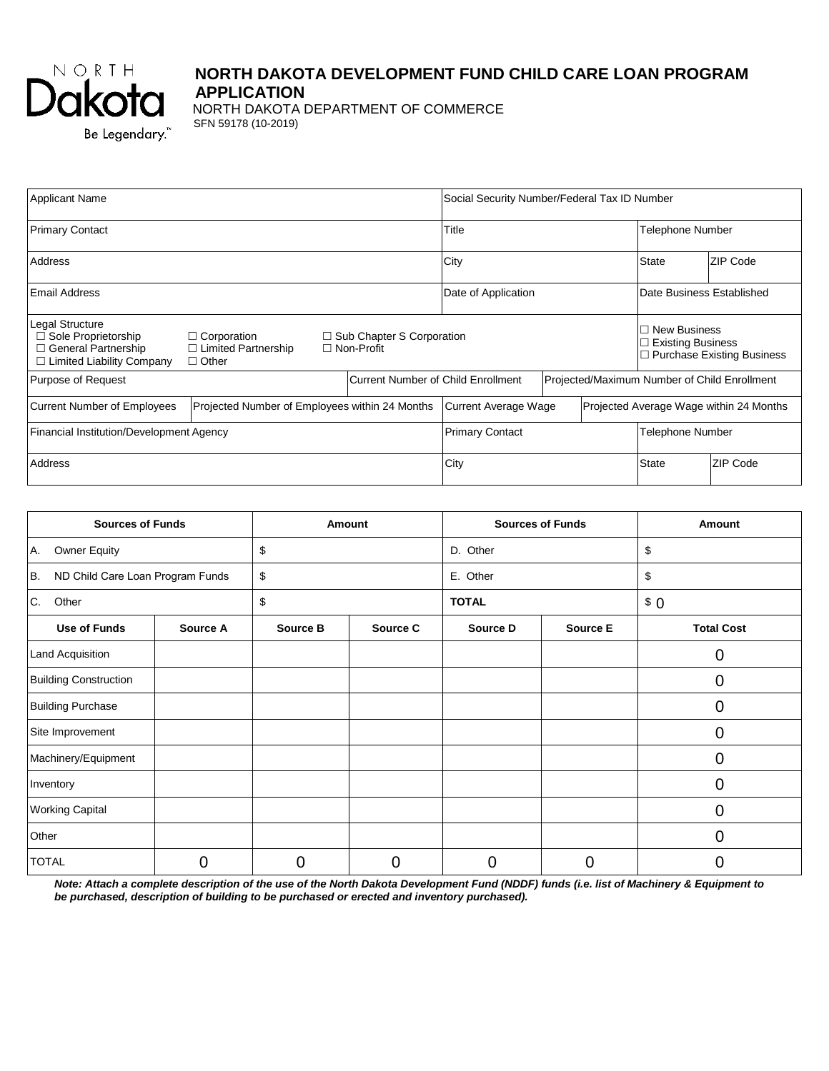

# **NORTH DAKOTA DEVELOPMENT FUND CHILD CARE LOAN PROGRAM APPLICATION**

NORTH DAKOTA DEPARTMENT OF COMMERCE SFN 59178 (10-2019)

| <b>Applicant Name</b>                                                                                             |                                                                                       |                                  | Social Security Number/Federal Tax ID Number                    |                                                                                           |                  |                           |          |
|-------------------------------------------------------------------------------------------------------------------|---------------------------------------------------------------------------------------|----------------------------------|-----------------------------------------------------------------|-------------------------------------------------------------------------------------------|------------------|---------------------------|----------|
| <b>Primary Contact</b>                                                                                            |                                                                                       |                                  | Title                                                           |                                                                                           |                  | Telephone Number          |          |
| Address                                                                                                           |                                                                                       |                                  | City                                                            |                                                                                           | <b>State</b>     | ZIP Code                  |          |
| l Email Address                                                                                                   |                                                                                       |                                  | Date of Application                                             |                                                                                           |                  | Date Business Established |          |
| <b>Legal Structure</b><br>$\Box$ Sole Proprietorship<br>$\Box$ General Partnership<br>□ Limited Liability Company | $\Box$ Corporation<br>$\Box$ Limited Partnership<br>$\Box$ Non-Profit<br>$\Box$ Other | $\Box$ Sub Chapter S Corporation |                                                                 | <b>New Business</b><br>П<br><b>Existing Business</b><br>$\Box$ Purchase Existing Business |                  |                           |          |
| <b>Current Number of Child Enrollment</b><br>Purpose of Request                                                   |                                                                                       |                                  | Projected/Maximum Number of Child Enrollment                    |                                                                                           |                  |                           |          |
| <b>Current Number of Employees</b><br>Projected Number of Employees within 24 Months                              |                                                                                       |                                  | Projected Average Wage within 24 Months<br>Current Average Wage |                                                                                           |                  |                           |          |
| Financial Institution/Development Agency                                                                          |                                                                                       |                                  | <b>Primary Contact</b>                                          |                                                                                           | Telephone Number |                           |          |
| Address                                                                                                           |                                                                                       |                                  | City                                                            |                                                                                           |                  | <b>State</b>              | ZIP Code |

| <b>Sources of Funds</b>                |          |          | Amount   | <b>Sources of Funds</b> |                 | Amount            |  |
|----------------------------------------|----------|----------|----------|-------------------------|-----------------|-------------------|--|
| Owner Equity<br>IA.                    |          | \$       | D. Other |                         |                 | \$                |  |
| ND Child Care Loan Program Funds<br>B. |          | \$       |          | E. Other                |                 | \$                |  |
| C.<br>Other                            |          | \$       |          | <b>TOTAL</b>            |                 | \$0               |  |
| <b>Use of Funds</b>                    | Source A | Source B | Source C | Source D                | <b>Source E</b> | <b>Total Cost</b> |  |
| Land Acquisition                       |          |          |          |                         |                 | 0                 |  |
| <b>Building Construction</b>           |          |          |          |                         |                 | 0                 |  |
| <b>Building Purchase</b>               |          |          |          |                         |                 | 0                 |  |
| Site Improvement                       |          |          |          |                         |                 | 0                 |  |
| Machinery/Equipment                    |          |          |          |                         |                 | 0                 |  |
| Inventory                              |          |          |          |                         |                 | 0                 |  |
| <b>Working Capital</b>                 |          |          |          |                         |                 | 0                 |  |
| Other                                  |          |          |          |                         |                 | 0                 |  |
| <b>TOTAL</b>                           | 0        | 0        | 0        | 0                       | 0               | 0                 |  |

*Note: Attach a complete description of the use of the North Dakota Development Fund (NDDF) funds (i.e. list of Machinery & Equipment to be purchased, description of building to be purchased or erected and inventory purchased).*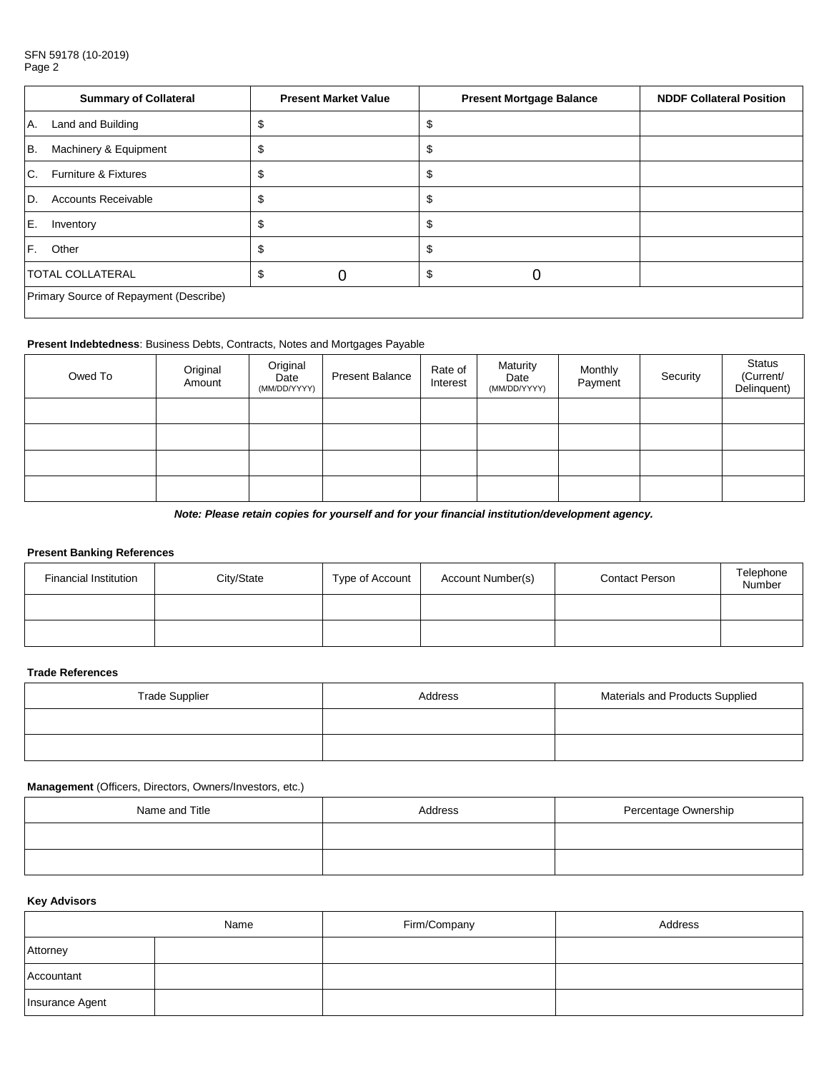#### SFN 59178 (10-2019) Page 2

|                | <b>Summary of Collateral</b>           |   | <b>Present Market Value</b> | <b>Present Mortgage Balance</b> | <b>NDDF Collateral Position</b> |
|----------------|----------------------------------------|---|-----------------------------|---------------------------------|---------------------------------|
| A.             | Land and Building                      |   |                             |                                 |                                 |
| B.             | Machinery & Equipment                  | Æ |                             |                                 |                                 |
| C <sub>1</sub> | Furniture & Fixtures                   |   |                             |                                 |                                 |
| ID.            | <b>Accounts Receivable</b>             |   |                             |                                 |                                 |
| IE.            | Inventory                              |   |                             |                                 |                                 |
| IF.            | Other                                  |   |                             |                                 |                                 |
|                | <b>TOTAL COLLATERAL</b>                |   |                             |                                 |                                 |
|                | Primary Source of Repayment (Describe) |   |                             |                                 |                                 |

### **Present Indebtedness**: Business Debts, Contracts, Notes and Mortgages Payable

| Owed To | Original<br>Amount | Original<br>Date<br>(MM/DD/YYYY) | <b>Present Balance</b> | Rate of<br>Interest | Maturity<br>Date<br>(MM/DD/YYYY) | Monthly<br>Payment | Security | Status<br>(Current/<br>Delinquent) |
|---------|--------------------|----------------------------------|------------------------|---------------------|----------------------------------|--------------------|----------|------------------------------------|
|         |                    |                                  |                        |                     |                                  |                    |          |                                    |
|         |                    |                                  |                        |                     |                                  |                    |          |                                    |
|         |                    |                                  |                        |                     |                                  |                    |          |                                    |
|         |                    |                                  |                        |                     |                                  |                    |          |                                    |

*Note: Please retain copies for yourself and for your financial institution/development agency.*

### **Present Banking References**

| <b>Financial Institution</b> | City/State | Type of Account | Account Number(s) | <b>Contact Person</b> | Telephone<br>Number |
|------------------------------|------------|-----------------|-------------------|-----------------------|---------------------|
|                              |            |                 |                   |                       |                     |
|                              |            |                 |                   |                       |                     |

### **Trade References**

| <b>Trade Supplier</b> | Address | Materials and Products Supplied |  |
|-----------------------|---------|---------------------------------|--|
|                       |         |                                 |  |
|                       |         |                                 |  |

### **Management** (Officers, Directors, Owners/Investors, etc.)

| Name and Title | Address | Percentage Ownership |
|----------------|---------|----------------------|
|                |         |                      |
|                |         |                      |

## **Key Advisors**

|                 | Name | Firm/Company | Address |
|-----------------|------|--------------|---------|
| Attorney        |      |              |         |
| Accountant      |      |              |         |
| Insurance Agent |      |              |         |